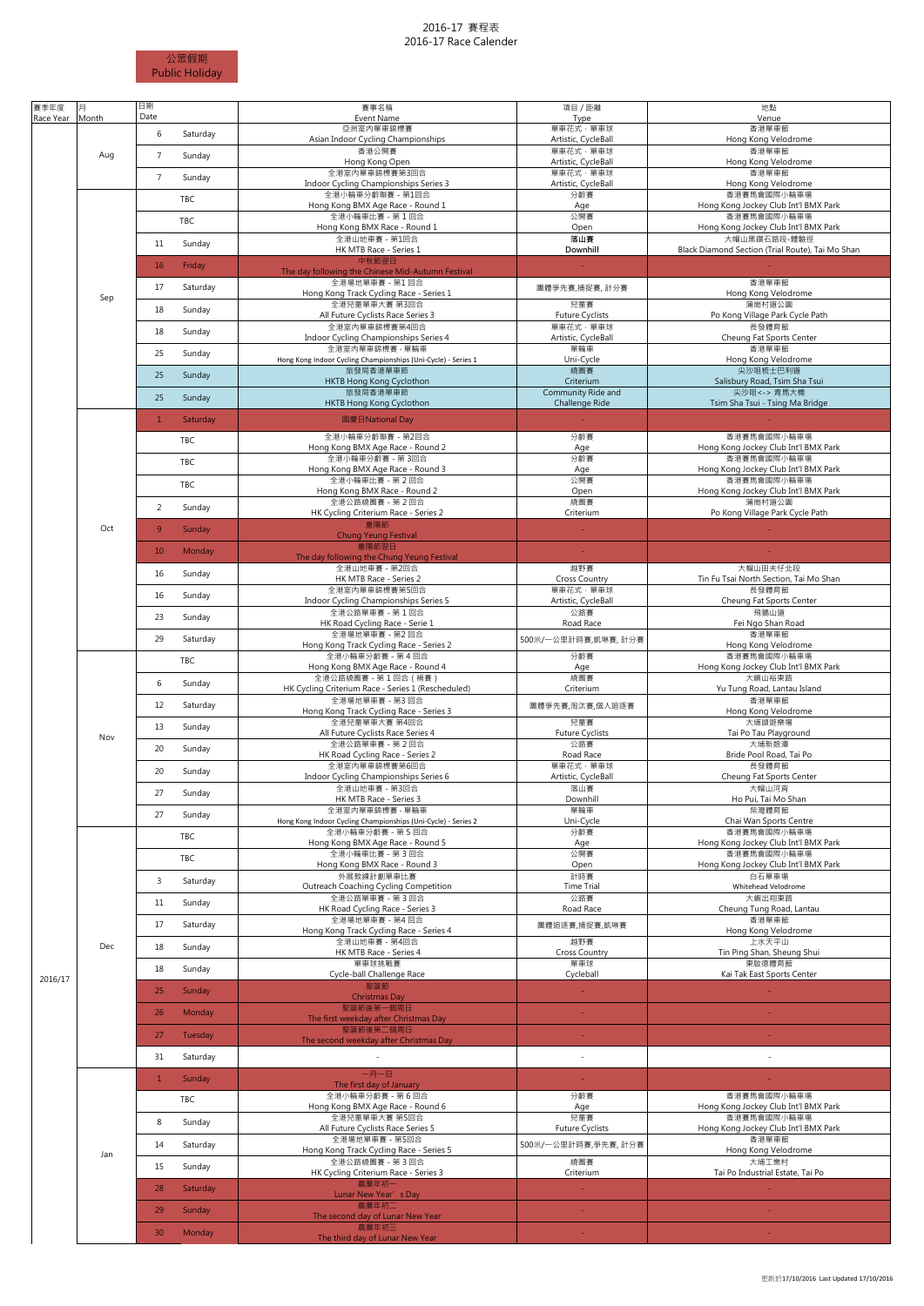## 2016-17 賽程表 2016-17 Race Calender



| 賽季年度<br>Race Year | 月<br>Month | 日期<br>Date                | 賽事名稱<br>Event Name                                                               | 項目 / 距離<br>Type                 | 地點<br>Venue                                                      |
|-------------------|------------|---------------------------|----------------------------------------------------------------------------------|---------------------------------|------------------------------------------------------------------|
|                   |            | 6<br>Saturday             | 亞洲室内單車錦標賽                                                                        | 單車花式·單車球                        | 香港單車館                                                            |
|                   | Aug        | $\overline{7}$<br>Sunday  | Asian Indoor Cycling Championships<br>香港公開賽                                      | Artistic, CycleBall<br>單車花式·單車球 | Hong Kong Velodrome<br>香港單車館                                     |
|                   |            |                           | Hong Kong Open<br>全港室内單車錦標賽第3回合                                                  | Artistic, CycleBall<br>單車花式·單車球 | Hong Kong Velodrome<br>香港單車館                                     |
|                   | Sep        | $7\overline{ }$<br>Sunday | Indoor Cycling Championships Series 3                                            | Artistic, CycleBall             | Hong Kong Velodrome                                              |
|                   |            | TBC                       | 全港小輪車分齡聯賽 - 第1回合<br>Hong Kong BMX Age Race - Round 1                             | 分齡賽<br>Age                      | 香港賽馬會國際小輪車場<br>Hong Kong Jockey Club Int'l BMX Park              |
|                   |            | TBC                       | 全港小輪車比賽 - 第1回合<br>Hong Kong BMX Race - Round 1                                   | 公開賽<br>Open                     | 香港賽馬會國際小輪車場<br>Hong Kong Jockey Club Int'l BMX Park              |
|                   |            | 11<br>Sunday              | 全港山地車賽 - 第1回合<br>HK MTB Race - Series 1                                          | 落山賽<br>Downhill                 | 大帽山黑鑽石路段-體驗徑<br>Black Diamond Section (Trial Route). Tai Mo Shan |
|                   |            | 16<br>Friday              | 中秋節翌日                                                                            |                                 |                                                                  |
|                   |            |                           | The day following the Chinese Mid-Autumn Festival<br>全港場地單車賽 - 第1回合              |                                 | 香港單車館                                                            |
|                   |            | 17<br>Saturday            | Hong Kong Track Cycling Race - Series 1<br>全港兒童單車大賽 第3回合                         | 團體爭先賽,捕捉賽, 計分賽<br>兒童賽           | Hong Kong Velodrome<br>蒲崗村道公園                                    |
|                   |            | 18<br>Sunday              | All Future Cyclists Race Series 3                                                | <b>Future Cyclists</b>          | Po Kong Village Park Cycle Path                                  |
|                   |            | 18<br>Sunday              | 全港室内單車錦標賽第4回合<br>Indoor Cycling Championships Series 4                           | 單車花式·單車球<br>Artistic, CycleBall | 長發體育館<br>Cheung Fat Sports Center                                |
|                   |            | 25<br>Sunday              | 全港室内單車錦標賽 - 單輪車<br>Hong Kong Indoor Cycling Championships (Uni-Cycle) - Series 1 | 單輪車<br>Uni-Cycle                | 香港單車館<br>Hong Kong Velodrome                                     |
|                   |            | 25<br>Sunday              | 旅發局香港單車節                                                                         | 繞圈賽                             | 尖沙咀梳士巴利道                                                         |
|                   |            | 25<br>Sunday              | HKTB Hong Kong Cyclothon<br>旅發局香港單車節                                             | Criterium<br>Community Ride and | Salisbury Road, Tsim Sha Tsui<br>尖沙咀 <- > 青馬大橋                   |
|                   |            |                           | HKTB Hong Kong Cyclothon                                                         | Challenge Ride                  | Tsim Sha Tsui - Tsing Ma Bridge                                  |
|                   |            | $\mathbf{1}$<br>Saturday  | 國慶日National Day<br>全港小輪車分齡聯賽 - 第2回合                                              | 分齡賽                             | 香港賽馬會國際小輪車場                                                      |
|                   |            | TBC                       | Hong Kong BMX Age Race - Round 2                                                 | Age                             | Hong Kong Jockey Club Int'l BMX Park                             |
|                   |            | TBC                       | 全港小輪車分齡賽 - 第3回合<br>Hong Kong BMX Age Race - Round 3                              | 分齡賽<br>Age                      | 香港賽馬會國際小輪車場<br>Hong Kong Jockey Club Int'l BMX Park              |
|                   |            | TBC                       | 全港小輪車比賽 - 第2回合<br>Hong Kong BMX Race - Round 2                                   | 公開賽<br>Open                     | 香港賽馬會國際小輪車場<br>Hong Kong Jockey Club Int'l BMX Park              |
|                   |            | $\overline{2}$<br>Sunday  | 全港公路繞圈賽 - 第2回合                                                                   | 繞圈賽                             | 蒲崗村道公園                                                           |
|                   | Oct        | 9<br>Sunday               | HK Cycling Criterium Race - Series 2<br>重陽節                                      | Criterium                       | Po Kong Village Park Cycle Path                                  |
|                   |            |                           | <b>Chung Yeung Festival</b><br>重陽節翌日                                             |                                 |                                                                  |
|                   |            | 10<br>Monday              | The day following the Chung Yeung Festival<br>全港山地車賽 - 第2回合                      | 越野賽                             | 大帽山田夫仔北段                                                         |
|                   |            | 16<br>Sunday              | HK MTB Race - Series 2                                                           | <b>Cross Country</b>            | Tin Fu Tsai North Section, Tai Mo Shan                           |
|                   |            | 16<br>Sunday              | 全港室内單車錦標賽第5回合<br>Indoor Cycling Championships Series 5                           | 單車花式·單車球<br>Artistic, CycleBall | 長發體育館<br>Cheung Fat Sports Center                                |
|                   |            | 23<br>Sunday              | 全港公路單車賽 - 第1回合<br>HK Road Cycling Race - Serie 1                                 | 公路賽<br>Road Race                | 飛鵝山道<br>Fei Ngo Shan Road                                        |
|                   |            | 29<br>Saturday            | 全港場地單車賽 - 第2回合<br>Hong Kong Track Cycling Race - Series 2                        | 500米/一公里計時賽,凱琳賽, 計分賽            | 香港單車館<br>Hong Kong Velodrome                                     |
|                   |            | TBC                       | 全港小輪車分齡賽 - 第4回合                                                                  | 分齡賽                             | 香港賽馬會國際小輪車場                                                      |
|                   | Nov        | 6<br>Sunday               | Hong Kong BMX Age Race - Round 4<br>全港公路繞圈賽 - 第1回合(補賽)                           | Age<br>繞圈賽                      | Hong Kong Jockey Club Int'l BMX Park<br>大嶼山裕東路                   |
|                   |            |                           | HK Cycling Criterium Race - Series 1 (Rescheduled)<br>全港場地單車賽 - 第3回合             | Criterium                       | Yu Tung Road, Lantau Island<br>香港單車館                             |
|                   |            | 12<br>Saturday            | Hong Kong Track Cycling Race - Series 3<br>全港兒童單車大賽 第4回合                         | 團體爭先賽,淘汰賽,個人追逐賽<br>兒童賽          | Hong Kong Velodrome<br>大埔頭遊樂場                                    |
|                   |            | 13<br>Sunday              | All Future Cyclists Race Series 4                                                | <b>Future Cyclists</b>          | Tai Po Tau Playground                                            |
|                   |            | 20<br>Sunday              | 全港公路單車賽 - 第2回合<br>HK Road Cycling Race - Series 2                                | 公路賽<br>Road Race                | 大埔新娘潭<br>Bride Pool Road, Tai Po                                 |
|                   |            | 20<br>Sunday              | 全港室内單車錦標賽第6回合<br>Indoor Cycling Championships Series 6                           | 單車花式·單車球<br>Artistic, CycleBall | 長發體育館<br>Cheung Fat Sports Center                                |
|                   |            | 27<br>Sunday              | 全港山地車賽 - 第3回合                                                                    | 落山賽                             | 大帽山河背                                                            |
|                   |            | 27<br>Sunday              | HK MTB Race - Series 3<br>全港室内單車錦標賽 - 單輪車                                        | Downhill<br>單輪車                 | Ho Pui, Tai Mo Shan<br>柴灣體育館                                     |
|                   |            | TBC                       | Hong Kong Indoor Cycling Championships (Uni-Cycle) - Series 2<br>全港小輪車分齡賽 - 第5回合 | Uni-Cycle<br>分齡賽                | Chai Wan Sports Centre<br>香港賽馬會國際小輪車場                            |
|                   | Dec        |                           | Hong Kong BMX Age Race - Round 5<br>全港小輪車比賽 - 第3回合                               | Age<br>公開賽                      | Hong Kong Jockey Club Int'l BMX Park<br>香港賽馬會國際小輪車場              |
|                   |            | TBC                       | Hong Kong BMX Race - Round 3                                                     | Open                            | Hong Kong Jockey Club Int'l BMX Park                             |
|                   |            | 3<br>Saturday             | 外展教練計劃單車比賽<br>Outreach Coaching Cycling Competition                              | 計時賽<br><b>Time Trial</b>        | 白石單車場<br>Whitehead Velodrome                                     |
|                   |            | 11<br>Sunday              | 全港公路單車賽 - 第3回合<br>HK Road Cycling Race - Series 3                                | 公路賽<br>Road Race                | 大嶼出翔東路<br>Cheung Tung Road, Lantau                               |
|                   |            | 17<br>Saturday            | 全港場地單車賽 - 第4回合<br>Hong Kong Track Cycling Race - Series 4                        | 團體追逐賽,捕捉賽,凱琳賽                   | 香港單車館<br>Hong Kong Velodrome                                     |
|                   |            | 18<br>Sunday              | 全港山地車賽 - 第4回合                                                                    | 越野賽                             | 上水天平山                                                            |
|                   |            | 18<br>Sunday              | HK MTB Race - Series 4<br>單車球挑戰賽                                                 | <b>Cross Country</b><br>單車球     | Tin Ping Shan, Sheung Shui<br>東啟德體育館                             |
| 2016/17           |            |                           | Cycle-ball Challenge Race<br>聖誕節                                                 | Cycleball                       | Kai Tak East Sports Center                                       |
|                   |            | 25<br>Sunday              | <b>Christmas Day</b><br>聖誕節後第一個周日                                                | $\sim$                          |                                                                  |
|                   |            | 26<br>Monday              | The first weekday after Christmas Day                                            |                                 |                                                                  |
|                   |            | 27<br>Tuesday             | 聖誕節後第二個周日<br>The second weekday after Christmas Day                              |                                 |                                                                  |
|                   |            | 31<br>Saturday            |                                                                                  | $\overline{\phantom{a}}$        | $\overline{\phantom{a}}$                                         |
|                   | Jan        | $\mathbf{1}$<br>Sunday    | 一月一日                                                                             | $\sim$                          |                                                                  |
|                   |            | TBC                       | The first day of January<br>全港小輪車分齡賽 - 第6回合                                      | 分齡賽                             | 香港賽馬會國際小輪車場                                                      |
|                   |            |                           | Hong Kong BMX Age Race - Round 6<br>全港兒童單車大賽 第5回合                                | Age<br>兒童賽                      | Hong Kong Jockey Club Int'l BMX Park<br>香港賽馬會國際小輪車場              |
|                   |            | 8<br>Sunday               | All Future Cyclists Race Series 5<br>全港場地單車賽 - 第5回合                              | <b>Future Cyclists</b>          | Hong Kong Jockey Club Int'l BMX Park<br>香港單車館                    |
|                   |            | 14<br>Saturday            | Hong Kong Track Cycling Race - Series 5                                          | 500米/一公里計時賽,爭先賽, 計分賽            | Hong Kong Velodrome                                              |
|                   |            | 15<br>Sunday              | 全港公路繞圈賽 - 第3回合<br>HK Cycling Criterium Race - Series 3                           | 続圈賽<br>Criterium                | 大埔工業村<br>Tai Po Industrial Estate, Tai Po                        |
|                   |            | 28<br>Saturday            | 農曆年初一<br>Lunar New Year's Day                                                    | $\sim$                          |                                                                  |
|                   |            | 29<br>Sunday              | 農曆年初二<br>The second day of Lunar New Year                                        | $\mathcal{L}_{\mathcal{A}}$     |                                                                  |
|                   |            | 30<br>Monday              | 農曆年初三                                                                            |                                 |                                                                  |
|                   |            |                           | The third day of Lunar New Year                                                  |                                 |                                                                  |